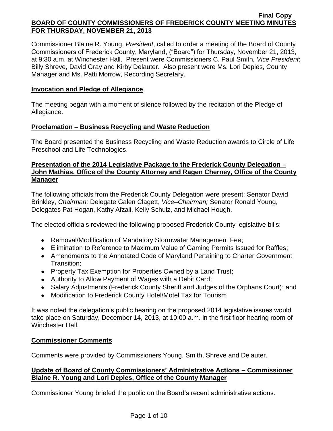Commissioner Blaine R. Young, *President*, called to order a meeting of the Board of County Commissioners of Frederick County, Maryland, ("Board") for Thursday, November 21, 2013, at 9:30 a.m. at Winchester Hall. Present were Commissioners C. Paul Smith*, Vice President*; Billy Shreve, David Gray and Kirby Delauter. Also present were Ms. Lori Depies, County Manager and Ms. Patti Morrow, Recording Secretary.

## **Invocation and Pledge of Allegiance**

The meeting began with a moment of silence followed by the recitation of the Pledge of Allegiance.

## **Proclamation – Business Recycling and Waste Reduction**

The Board presented the Business Recycling and Waste Reduction awards to Circle of Life Preschool and Life Technologies.

## **Presentation of the 2014 Legislative Package to the Frederick County Delegation – John Mathias, Office of the County Attorney and Ragen Cherney, Office of the County Manager**

The following officials from the Frederick County Delegation were present: Senator David Brinkley, *Chairman;* Delegate Galen Clagett, *Vice–Chairman;* Senator Ronald Young, Delegates Pat Hogan, Kathy Afzali, Kelly Schulz, and Michael Hough.

The elected officials reviewed the following proposed Frederick County legislative bills:

- Removal/Modification of Mandatory Stormwater Management Fee;
- Elimination to Reference to Maximum Value of Gaming Permits Issued for Raffles;
- Amendments to the Annotated Code of Maryland Pertaining to Charter Government Transition;
- Property Tax Exemption for Properties Owned by a Land Trust;
- Authority to Allow Payment of Wages with a Debit Card;
- Salary Adjustments (Frederick County Sheriff and Judges of the Orphans Court); and
- Modification to Frederick County Hotel/Motel Tax for Tourism

It was noted the delegation's public hearing on the proposed 2014 legislative issues would take place on Saturday, December 14, 2013, at 10:00 a.m. in the first floor hearing room of Winchester Hall.

## **Commissioner Comments**

Comments were provided by Commissioners Young, Smith, Shreve and Delauter.

## **Update of Board of County Commissioners' Administrative Actions – Commissioner Blaine R. Young and Lori Depies, Office of the County Manager**

Commissioner Young briefed the public on the Board's recent administrative actions.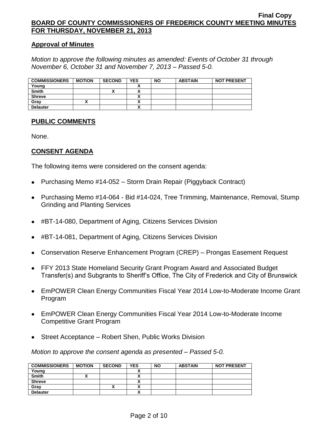#### **Approval of Minutes**

*Motion to approve the following minutes as amended: Events of October 31 through November 6, October 31 and November 7, 2013 – Passed 5-0.*

| <b>COMMISSIONERS</b> | <b>MOTION</b> | <b>SECOND</b> | <b>YES</b> | <b>NO</b> | <b>ABSTAIN</b> | <b>NOT PRESENT</b> |
|----------------------|---------------|---------------|------------|-----------|----------------|--------------------|
| Young                |               |               |            |           |                |                    |
| <b>Smith</b>         |               | "             |            |           |                |                    |
| <b>Shreve</b>        |               |               |            |           |                |                    |
| Grav                 |               |               |            |           |                |                    |
| <b>Delauter</b>      |               |               |            |           |                |                    |

## **PUBLIC COMMENTS**

None.

## **CONSENT AGENDA**

The following items were considered on the consent agenda:

- Purchasing Memo #14-052 Storm Drain Repair (Piggyback Contract)
- Purchasing Memo #14-064 Bid #14-024, Tree Trimming, Maintenance, Removal, Stump  $\bullet$ Grinding and Planting Services
- #BT-14-080, Department of Aging, Citizens Services Division
- #BT-14-081, Department of Aging, Citizens Services Division
- Conservation Reserve Enhancement Program (CREP) Prongas Easement Request
- FFY 2013 State Homeland Security Grant Program Award and Associated Budget Transfer(s) and Subgrants to Sheriff's Office, The City of Frederick and City of Brunswick
- EmPOWER Clean Energy Communities Fiscal Year 2014 Low-to-Moderate Income Grant Program
- EmPOWER Clean Energy Communities Fiscal Year 2014 Low-to-Moderate Income Competitive Grant Program
- Street Acceptance Robert Shen, Public Works Division  $\bullet$

*Motion to approve the consent agenda as presented – Passed 5-0.*

| <b>COMMISSIONERS</b> | <b>MOTION</b> | <b>SECOND</b> | <b>YES</b> | <b>NO</b> | <b>ABSTAIN</b> | <b>NOT PRESENT</b> |
|----------------------|---------------|---------------|------------|-----------|----------------|--------------------|
| Young                |               |               |            |           |                |                    |
| <b>Smith</b>         | ^             |               |            |           |                |                    |
| <b>Shreve</b>        |               |               |            |           |                |                    |
| Gray                 |               | ́             |            |           |                |                    |
| <b>Delauter</b>      |               |               |            |           |                |                    |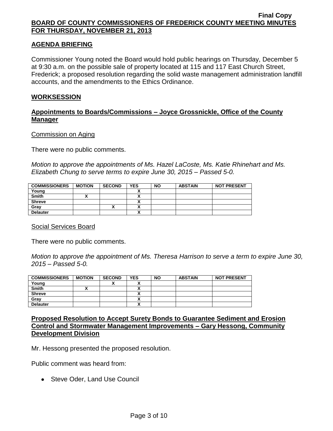## **AGENDA BRIEFING**

Commissioner Young noted the Board would hold public hearings on Thursday, December 5 at 9:30 a.m. on the possible sale of property located at 115 and 117 East Church Street, Frederick; a proposed resolution regarding the solid waste management administration landfill accounts, and the amendments to the Ethics Ordinance.

#### **WORKSESSION**

## **Appointments to Boards/Commissions – Joyce Grossnickle, Office of the County Manager**

#### Commission on Aging

There were no public comments.

*Motion to approve the appointments of Ms. Hazel LaCoste, Ms. Katie Rhinehart and Ms. Elizabeth Chung to serve terms to expire June 30, 2015 – Passed 5-0.*

| <b>COMMISSIONERS</b> | <b>MOTION</b> | <b>SECOND</b> | <b>YES</b>                | <b>NO</b> | <b>ABSTAIN</b> | <b>NOT PRESENT</b> |
|----------------------|---------------|---------------|---------------------------|-----------|----------------|--------------------|
| Young                |               |               |                           |           |                |                    |
| <b>Smith</b>         |               |               | ٠.                        |           |                |                    |
| <b>Shreve</b>        |               |               | ^                         |           |                |                    |
| Grav                 |               |               | <br>^                     |           |                |                    |
| <b>Delauter</b>      |               |               | $\ddot{\phantom{a}}$<br>Λ |           |                |                    |

#### Social Services Board

There were no public comments.

*Motion to approve the appointment of Ms. Theresa Harrison to serve a term to expire June 30, 2015 – Passed 5-0.*

| <b>COMMISSIONERS</b> | <b>MOTION</b> | <b>SECOND</b>            | <b>YES</b>                      | <b>NO</b> | <b>ABSTAIN</b> | <b>NOT PRESENT</b> |
|----------------------|---------------|--------------------------|---------------------------------|-----------|----------------|--------------------|
| Young                |               | $\overline{\phantom{a}}$ | $\overline{\phantom{a}}$        |           |                |                    |
| <b>Smith</b>         |               |                          |                                 |           |                |                    |
| <b>Shreve</b>        |               |                          |                                 |           |                |                    |
| Grav                 |               |                          | ~                               |           |                |                    |
| <b>Delauter</b>      |               |                          | `<br>$\boldsymbol{\mathcal{L}}$ |           |                |                    |

## **Proposed Resolution to Accept Surety Bonds to Guarantee Sediment and Erosion Control and Stormwater Management Improvements – Gary Hessong, Community Development Division**

Mr. Hessong presented the proposed resolution.

Public comment was heard from:

• Steve Oder, Land Use Council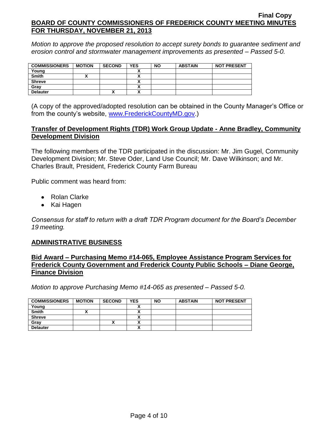*Motion to approve the proposed resolution to accept surety bonds to guarantee sediment and erosion control and stormwater management improvements as presented – Passed 5-0.*

| <b>COMMISSIONERS</b> | <b>MOTION</b> | <b>SECOND</b> | <b>YES</b> | <b>NO</b> | <b>ABSTAIN</b> | <b>NOT PRESENT</b> |
|----------------------|---------------|---------------|------------|-----------|----------------|--------------------|
| Young                |               |               |            |           |                |                    |
| <b>Smith</b>         |               |               |            |           |                |                    |
| <b>Shreve</b>        |               |               |            |           |                |                    |
| Gray                 |               |               |            |           |                |                    |
| <b>Delauter</b>      |               | ́             |            |           |                |                    |

(A copy of the approved/adopted resolution can be obtained in the County Manager's Office or from the county's website, [www.FrederickCountyMD.gov.](http://www.frederickcountymd.gov/))

## **Transfer of Development Rights (TDR) Work Group Update - Anne Bradley, Community Development Division**

The following members of the TDR participated in the discussion: Mr. Jim Gugel, Community Development Division; Mr. Steve Oder, Land Use Council; Mr. Dave Wilkinson; and Mr. Charles Brault, President, Frederick County Farm Bureau

Public comment was heard from:

- Rolan Clarke
- Kai Hagen

*Consensus for staff to return with a draft TDR Program document for the Board's December 19 meeting.*

## **ADMINISTRATIVE BUSINESS**

#### **Bid Award – Purchasing Memo #14-065, Employee Assistance Program Services for Frederick County Government and Frederick County Public Schools – Diane George, Finance Division**

*Motion to approve Purchasing Memo #14-065 as presented – Passed 5-0.*

| <b>COMMISSIONERS</b> | <b>MOTION</b> | <b>SECOND</b> | <b>YES</b> | <b>NO</b> | <b>ABSTAIN</b> | <b>NOT PRESENT</b> |
|----------------------|---------------|---------------|------------|-----------|----------------|--------------------|
| Young                |               |               |            |           |                |                    |
| <b>Smith</b>         |               |               |            |           |                |                    |
| <b>Shreve</b>        |               |               |            |           |                |                    |
| Gray                 |               |               |            |           |                |                    |
| <b>Delauter</b>      |               |               |            |           |                |                    |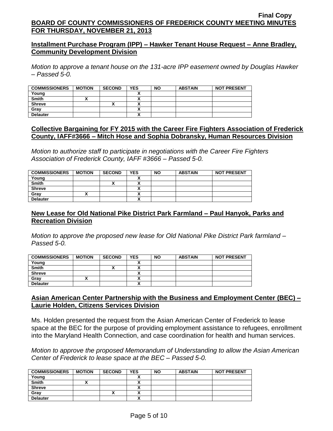## **Installment Purchase Program (IPP) – Hawker Tenant House Request – Anne Bradley, Community Development Division**

*Motion to approve a tenant house on the 131-acre IPP easement owned by Douglas Hawker – Passed 5-0.*

| <b>COMMISSIONERS</b> | <b>MOTION</b> | <b>SECOND</b> | <b>YES</b> | <b>NO</b> | <b>ABSTAIN</b> | <b>NOT PRESENT</b> |
|----------------------|---------------|---------------|------------|-----------|----------------|--------------------|
| Young                |               |               |            |           |                |                    |
| <b>Smith</b>         |               |               |            |           |                |                    |
| <b>Shreve</b>        |               | ,,            |            |           |                |                    |
| Gray                 |               |               |            |           |                |                    |
| <b>Delauter</b>      |               |               |            |           |                |                    |

## **Collective Bargaining for FY 2015 with the Career Fire Fighters Association of Frederick County, IAFF#3666 – Mitch Hose and Sophia Dobransky, Human Resources Division**

*Motion to authorize staff to participate in negotiations with the Career Fire Fighters Association of Frederick County, IAFF #3666 – Passed 5-0.*

| <b>COMMISSIONERS</b> | <b>MOTION</b> | <b>SECOND</b> | <b>YES</b>               | <b>NO</b> | <b>ABSTAIN</b> | <b>NOT PRESENT</b> |
|----------------------|---------------|---------------|--------------------------|-----------|----------------|--------------------|
| Young                |               |               |                          |           |                |                    |
| <b>Smith</b>         |               | ^             |                          |           |                |                    |
| <b>Shreve</b>        |               |               |                          |           |                |                    |
| Gray                 |               |               |                          |           |                |                    |
| <b>Delauter</b>      |               |               | $\overline{\phantom{a}}$ |           |                |                    |

# **New Lease for Old National Pike District Park Farmland – Paul Hanyok, Parks and Recreation Division**

*Motion to approve the proposed new lease for Old National Pike District Park farmland – Passed 5-0.*

| <b>COMMISSIONERS</b> | <b>MOTION</b> | <b>SECOND</b> | <b>YES</b> | <b>NO</b> | <b>ABSTAIN</b> | <b>NOT PRESENT</b> |
|----------------------|---------------|---------------|------------|-----------|----------------|--------------------|
| Young                |               |               |            |           |                |                    |
| <b>Smith</b>         |               | "             |            |           |                |                    |
| <b>Shreve</b>        |               |               |            |           |                |                    |
| Gray                 |               |               |            |           |                |                    |
| <b>Delauter</b>      |               |               |            |           |                |                    |

## **Asian American Center Partnership with the Business and Employment Center (BEC) – Laurie Holden, Citizens Services Division**

Ms. Holden presented the request from the Asian American Center of Frederick to lease space at the BEC for the purpose of providing employment assistance to refugees, enrollment into the Maryland Health Connection, and case coordination for health and human services.

*Motion to approve the proposed Memorandum of Understanding to allow the Asian American Center of Frederick to lease space at the BEC – Passed 5-0.*

| <b>COMMISSIONERS</b> | <b>MOTION</b> | <b>SECOND</b> | <b>YES</b> | <b>NO</b> | <b>ABSTAIN</b> | <b>NOT PRESENT</b> |
|----------------------|---------------|---------------|------------|-----------|----------------|--------------------|
| Young                |               |               |            |           |                |                    |
| <b>Smith</b>         |               |               |            |           |                |                    |
| <b>Shreve</b>        |               |               |            |           |                |                    |
| Grav                 |               | ,,            |            |           |                |                    |
| <b>Delauter</b>      |               |               | ,,,        |           |                |                    |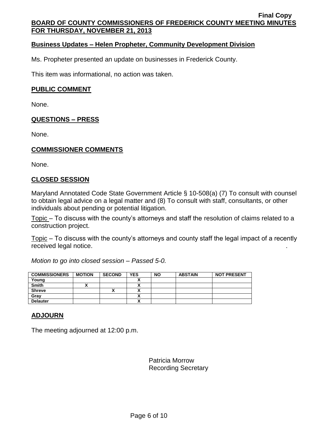## **Business Updates – Helen Propheter, Community Development Division**

Ms. Propheter presented an update on businesses in Frederick County.

This item was informational, no action was taken.

## **PUBLIC COMMENT**

None.

## **QUESTIONS – PRESS**

None.

## **COMMISSIONER COMMENTS**

None.

## **CLOSED SESSION**

Maryland Annotated Code State Government Article § 10-508(a) (7) To consult with counsel to obtain legal advice on a legal matter and (8) To consult with staff, consultants, or other individuals about pending or potential litigation.

Topic – To discuss with the county's attorneys and staff the resolution of claims related to a construction project.

Topic – To discuss with the county's attorneys and county staff the legal impact of a recently received legal notice. .

*Motion to go into closed session – Passed 5-0.*

| <b>COMMISSIONERS</b> | <b>MOTION</b> | <b>SECOND</b> | <b>YES</b>               | <b>NO</b> | <b>ABSTAIN</b> | <b>NOT PRESENT</b> |
|----------------------|---------------|---------------|--------------------------|-----------|----------------|--------------------|
| Young                |               |               |                          |           |                |                    |
| <b>Smith</b>         |               |               | ^                        |           |                |                    |
| <b>Shreve</b>        |               |               | ٠.<br>~                  |           |                |                    |
| Grav                 |               |               |                          |           |                |                    |
| <b>Delauter</b>      |               |               | $\overline{\phantom{a}}$ |           |                |                    |

# **ADJOURN**

The meeting adjourned at 12:00 p.m.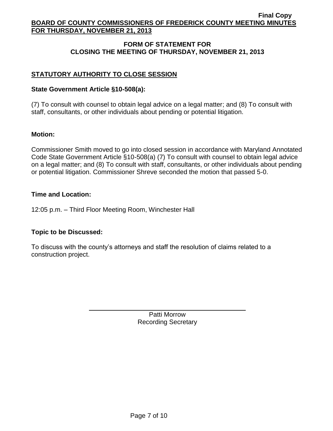# **FORM OF STATEMENT FOR CLOSING THE MEETING OF THURSDAY, NOVEMBER 21, 2013**

# **STATUTORY AUTHORITY TO CLOSE SESSION**

## **State Government Article §10-508(a):**

(7) To consult with counsel to obtain legal advice on a legal matter; and (8) To consult with staff, consultants, or other individuals about pending or potential litigation.

## **Motion:**

Commissioner Smith moved to go into closed session in accordance with Maryland Annotated Code State Government Article §10-508(a) (7) To consult with counsel to obtain legal advice on a legal matter; and (8) To consult with staff, consultants, or other individuals about pending or potential litigation. Commissioner Shreve seconded the motion that passed 5-0.

## **Time and Location:**

12:05 p.m. – Third Floor Meeting Room, Winchester Hall

## **Topic to be Discussed:**

To discuss with the county's attorneys and staff the resolution of claims related to a construction project.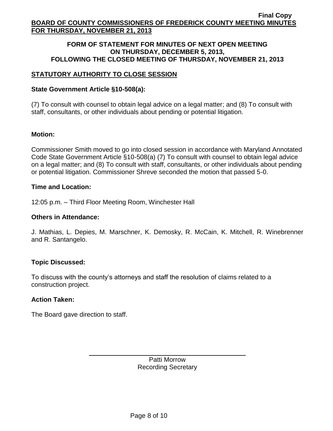#### **FORM OF STATEMENT FOR MINUTES OF NEXT OPEN MEETING ON THURSDAY, DECEMBER 5, 2013, FOLLOWING THE CLOSED MEETING OF THURSDAY, NOVEMBER 21, 2013**

# **STATUTORY AUTHORITY TO CLOSE SESSION**

## **State Government Article §10-508(a):**

(7) To consult with counsel to obtain legal advice on a legal matter; and (8) To consult with staff, consultants, or other individuals about pending or potential litigation.

## **Motion:**

Commissioner Smith moved to go into closed session in accordance with Maryland Annotated Code State Government Article §10-508(a) (7) To consult with counsel to obtain legal advice on a legal matter; and (8) To consult with staff, consultants, or other individuals about pending or potential litigation. Commissioner Shreve seconded the motion that passed 5-0.

## **Time and Location:**

12:05 p.m. – Third Floor Meeting Room, Winchester Hall

## **Others in Attendance:**

J. Mathias, L. Depies, M. Marschner, K. Demosky, R. McCain, K. Mitchell, R. Winebrenner and R. Santangelo.

## **Topic Discussed:**

To discuss with the county's attorneys and staff the resolution of claims related to a construction project.

## **Action Taken:**

The Board gave direction to staff.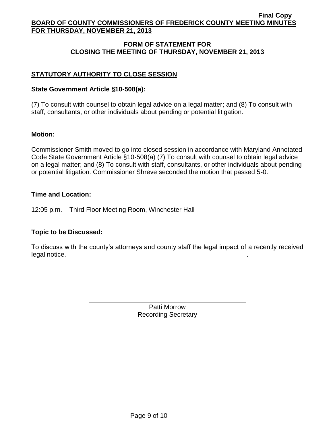## **FORM OF STATEMENT FOR CLOSING THE MEETING OF THURSDAY, NOVEMBER 21, 2013**

# **STATUTORY AUTHORITY TO CLOSE SESSION**

## **State Government Article §10-508(a):**

(7) To consult with counsel to obtain legal advice on a legal matter; and (8) To consult with staff, consultants, or other individuals about pending or potential litigation.

## **Motion:**

Commissioner Smith moved to go into closed session in accordance with Maryland Annotated Code State Government Article §10-508(a) (7) To consult with counsel to obtain legal advice on a legal matter; and (8) To consult with staff, consultants, or other individuals about pending or potential litigation. Commissioner Shreve seconded the motion that passed 5-0.

## **Time and Location:**

12:05 p.m. – Third Floor Meeting Room, Winchester Hall

## **Topic to be Discussed:**

To discuss with the county's attorneys and county staff the legal impact of a recently received legal notice.